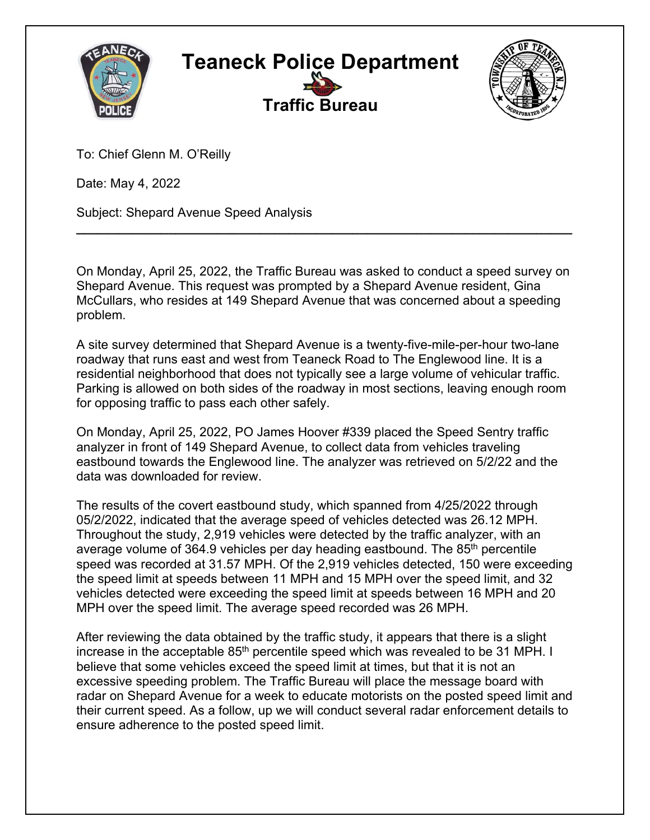



To: Chief Glenn M. O'Reilly

Date: May 4, 2022

Subject: Shepard Avenue Speed Analysis

On Monday, April 25, 2022, the Traffic Bureau was asked to conduct a speed survey on Shepard Avenue. This request was prompted by a Shepard Avenue resident, Gina McCullars, who resides at 149 Shepard Avenue that was concerned about a speeding problem.

**\_\_\_\_\_\_\_\_\_\_\_\_\_\_\_\_\_\_\_\_\_\_\_\_\_\_\_\_\_\_\_\_\_\_\_\_\_\_\_\_\_\_\_\_\_\_\_\_\_\_\_\_\_\_\_\_\_\_\_\_\_\_\_\_\_\_\_\_\_\_** 

A site survey determined that Shepard Avenue is a twenty-five-mile-per-hour two-lane roadway that runs east and west from Teaneck Road to The Englewood line. It is a residential neighborhood that does not typically see a large volume of vehicular traffic. Parking is allowed on both sides of the roadway in most sections, leaving enough room for opposing traffic to pass each other safely.

On Monday, April 25, 2022, PO James Hoover #339 placed the Speed Sentry traffic analyzer in front of 149 Shepard Avenue, to collect data from vehicles traveling eastbound towards the Englewood line. The analyzer was retrieved on 5/2/22 and the data was downloaded for review.

The results of the covert eastbound study, which spanned from 4/25/2022 through 05/2/2022, indicated that the average speed of vehicles detected was 26.12 MPH. Throughout the study, 2,919 vehicles were detected by the traffic analyzer, with an average volume of 364.9 vehicles per day heading eastbound. The 85<sup>th</sup> percentile speed was recorded at 31.57 MPH. Of the 2,919 vehicles detected, 150 were exceeding the speed limit at speeds between 11 MPH and 15 MPH over the speed limit, and 32 vehicles detected were exceeding the speed limit at speeds between 16 MPH and 20 MPH over the speed limit. The average speed recorded was 26 MPH.

After reviewing the data obtained by the traffic study, it appears that there is a slight increase in the acceptable  $85<sup>th</sup>$  percentile speed which was revealed to be 31 MPH. I believe that some vehicles exceed the speed limit at times, but that it is not an excessive speeding problem. The Traffic Bureau will place the message board with radar on Shepard Avenue for a week to educate motorists on the posted speed limit and their current speed. As a follow, up we will conduct several radar enforcement details to ensure adherence to the posted speed limit.